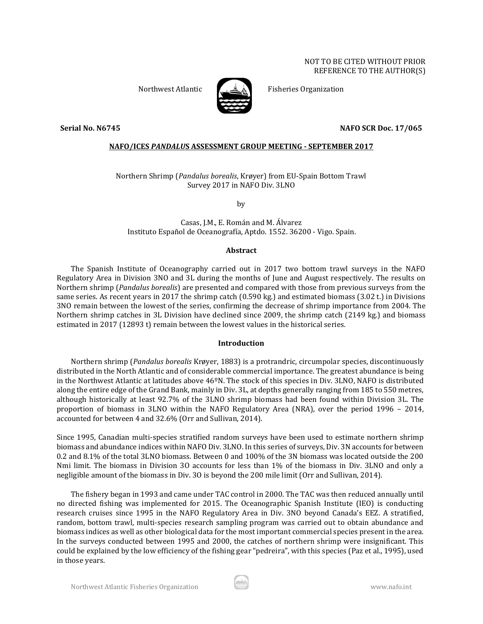

Northwest Atlantic Fisheries Organization

**Serial No. N6745 NAFO SCR Doc. 17/065**

## **NAFO/ICES** *PANDALU***S ASSESSMENT GROUP MEETING - SEPTEMBER 2017**

Northern Shrimp (*Pandalus borealis*, Krøyer) from EU-Spain Bottom Trawl Survey 2017 in NAFO Div. 3LNO

by

Casas, J.M., E. Román and M. Álvarez Instituto Español de Oceanografía, Aptdo. 1552. 36200 - Vigo. Spain.

## **Abstract**

The Spanish Institute of Oceanography carried out in 2017 two bottom trawl surveys in the NAFO Regulatory Area in Division 3NO and 3L during the months of June and August respectively. The results on Northern shrimp (*Pandalus borealis*) are presented and compared with those from previous surveys from the same series. As recent years in 2017 the shrimp catch (0.590 kg.) and estimated biomass (3.02 t.) in Divisions 3NO remain between the lowest of the series, confirming the decrease of shrimp importance from 2004. The Northern shrimp catches in 3L Division have declined since 2009, the shrimp catch (2149 kg.) and biomass estimated in 2017 (12893 t) remain between the lowest values in the historical series.

## **Introduction**

Northern shrimp (*Pandalus borealis* Krøyer, 1883) is a protrandric, circumpolar species, discontinuously distributed in the North Atlantic and of considerable commercial importance. The greatest abundance is being in the Northwest Atlantic at latitudes above 46ºN. The stock of this species in Div. 3LNO, NAFO is distributed along the entire edge of the Grand Bank, mainly in Div. 3L, at depths generally ranging from 185 to 550 metres, although historically at least 92.7% of the 3LNO shrimp biomass had been found within Division 3L. The proportion of biomass in 3LNO within the NAFO Regulatory Area (NRA), over the period 1996 – 2014, accounted for between 4 and 32.6% (Orr and Sullivan, 2014).

Since 1995, Canadian multi-species stratified random surveys have been used to estimate northern shrimp biomass and abundance indices within NAFO Div. 3LNO. In this series of surveys, Div. 3N accounts for between 0.2 and 8.1% of the total 3LNO biomass. Between 0 and 100% of the 3N biomass was located outside the 200 Nmi limit. The biomass in Division 3O accounts for less than 1% of the biomass in Div. 3LNO and only a negligible amount of the biomass in Div. 3O is beyond the 200 mile limit (Orr and Sullivan, 2014).

The fishery began in 1993 and came under TAC control in 2000. The TAC was then reduced annually until no directed fishing was implemented for 2015. The Oceanographic Spanish Institute (IEO) is conducting research cruises since 1995 in the NAFO Regulatory Area in Div. 3NO beyond Canada's EEZ. A stratified, random, bottom trawl, multi-species research sampling program was carried out to obtain abundance and biomass indices as well as other biological data for the most important commercial species present in the area. In the surveys conducted between 1995 and 2000, the catches of northern shrimp were insignificant. This could be explained by the low efficiency of the fishing gear "pedreira", with this species (Paz et al., 1995), used in those years.

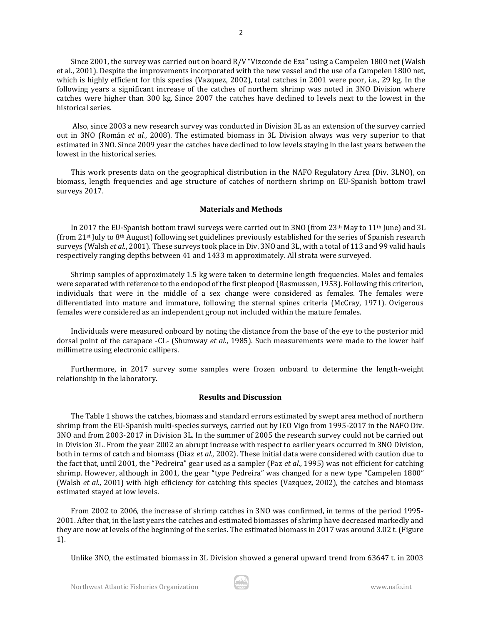Since 2001, the survey was carried out on board R/V "Vizconde de Eza" using a Campelen 1800 net (Walsh et al., 2001). Despite the improvements incorporated with the new vessel and the use of a Campelen 1800 net, which is highly efficient for this species (Vazquez, 2002), total catches in 2001 were poor, i.e., 29 kg. In the following years a significant increase of the catches of northern shrimp was noted in 3NO Division where catches were higher than 300 kg. Since 2007 the catches have declined to levels next to the lowest in the historical series.

Also, since 2003 a new research survey was conducted in Division 3L as an extension of the survey carried out in 3NO (Román *et al.*, 2008). The estimated biomass in 3L Division always was very superior to that estimated in 3NO. Since 2009 year the catches have declined to low levels staying in the last years between the lowest in the historical series.

This work presents data on the geographical distribution in the NAFO Regulatory Area (Div. 3LNO), on biomass, length frequencies and age structure of catches of northern shrimp on EU-Spanish bottom trawl surveys 2017.

## **Materials and Methods**

In 2017 the EU-Spanish bottom trawl surveys were carried out in 3NO (from 23<sup>th</sup> May to 11<sup>th</sup> June) and 3L (from 21<sup>st</sup> July to 8<sup>th</sup> August) following set guidelines previously established for the series of Spanish research surveys (Walsh *et al.*, 2001). These surveys took place in Div. 3NO and 3L, with a total of 113 and 99 valid hauls respectively ranging depths between 41 and 1433 m approximately. All strata were surveyed.

Shrimp samples of approximately 1.5 kg were taken to determine length frequencies. Males and females were separated with reference to the endopod of the first pleopod (Rasmussen, 1953). Following this criterion, individuals that were in the middle of a sex change were considered as females. The females were differentiated into mature and immature, following the sternal spines criteria (McCray, 1971). Ovigerous females were considered as an independent group not included within the mature females.

Individuals were measured onboard by noting the distance from the base of the eye to the posterior mid dorsal point of the carapace -CL- (Shumway *et al*., 1985). Such measurements were made to the lower half millimetre using electronic callipers.

Furthermore, in 2017 survey some samples were frozen onboard to determine the length-weight relationship in the laboratory.

#### **Results and Discussion**

The Table 1 shows the catches, biomass and standard errors estimated by swept area method of northern shrimp from the EU-Spanish multi-species surveys, carried out by IEO Vigo from 1995-2017 in the NAFO Div. 3NO and from 2003-2017 in Division 3L. In the summer of 2005 the research survey could not be carried out in Division 3L. From the year 2002 an abrupt increase with respect to earlier years occurred in 3NO Division, both in terms of catch and biomass (Diaz *et al*., 2002). These initial data were considered with caution due to the fact that, until 2001, the "Pedreira" gear used as a sampler (Paz *et al*., 1995) was not efficient for catching shrimp. However, although in 2001, the gear "type Pedreira" was changed for a new type "Campelen 1800" (Walsh *et al*., 2001) with high efficiency for catching this species (Vazquez, 2002), the catches and biomass estimated stayed at low levels.

From 2002 to 2006, the increase of shrimp catches in 3NO was confirmed, in terms of the period 1995- 2001. After that, in the last years the catches and estimated biomasses of shrimp have decreased markedly and they are now at levels of the beginning of the series. The estimated biomass in 2017 was around 3.02 t. (Figure 1).

Unlike 3NO, the estimated biomass in 3L Division showed a general upward trend from 63647 t. in 2003

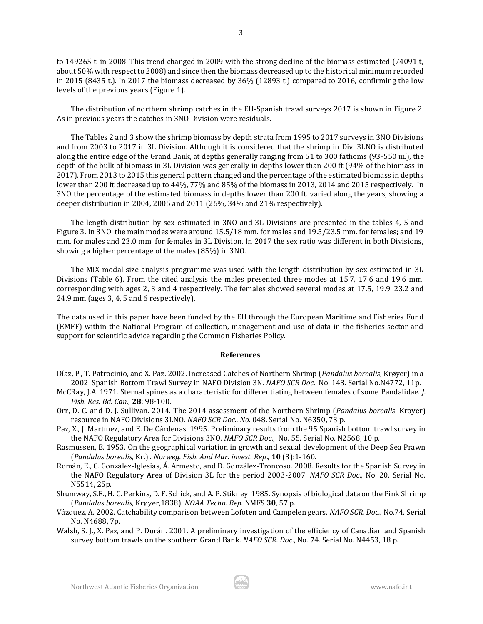to 149265 t. in 2008. This trend changed in 2009 with the strong decline of the biomass estimated (74091 t, about 50% with respect to 2008) and since then the biomass decreased up to the historical minimum recorded in 2015 (8435 t.). In 2017 the biomass decreased by 36% (12893 t.) compared to 2016, confirming the low levels of the previous years (Figure 1).

The distribution of northern shrimp catches in the EU-Spanish trawl surveys 2017 is shown in Figure 2. As in previous years the catches in 3NO Division were residuals.

The Tables 2 and 3 show the shrimp biomass by depth strata from 1995 to 2017 surveys in 3NO Divisions and from 2003 to 2017 in 3L Division. Although it is considered that the shrimp in Div. 3LNO is distributed along the entire edge of the Grand Bank, at depths generally ranging from 51 to 300 fathoms (93-550 m.), the depth of the bulk of biomass in 3L Division was generally in depths lower than 200 ft (94% of the biomass in 2017). From 2013 to 2015 this general pattern changed and the percentage of the estimated biomass in depths lower than 200 ft decreased up to 44%, 77% and 85% of the biomass in 2013, 2014 and 2015 respectively. In 3NO the percentage of the estimated biomass in depths lower than 200 ft. varied along the years, showing a deeper distribution in 2004, 2005 and 2011 (26%, 34% and 21% respectively).

The length distribution by sex estimated in 3NO and 3L Divisions are presented in the tables 4, 5 and Figure 3. In 3NO, the main modes were around 15.5/18 mm. for males and 19.5/23.5 mm. for females; and 19 mm. for males and 23.0 mm. for females in 3L Division. In 2017 the sex ratio was different in both Divisions, showing a higher percentage of the males (85%) in 3NO.

The MIX modal size analysis programme was used with the length distribution by sex estimated in 3L Divisions (Table 6). From the cited analysis the males presented three modes at 15.7, 17.6 and 19.6 mm. corresponding with ages 2, 3 and 4 respectively. The females showed several modes at 17.5, 19.9, 23.2 and 24.9 mm (ages 3, 4, 5 and 6 respectively).

The data used in this paper have been funded by the EU through the European Maritime and Fisheries Fund (EMFF) within the National Program of collection, management and use of data in the fisheries sector and support for scientific advice regarding the Common Fisheries Policy.

#### **References**

- Díaz, P., T. Patrocinio, and X. Paz. 2002. Increased Catches of Northern Shrimp (*Pandalus borealis*, Krøyer) in a 2002 Spanish Bottom Trawl Survey in NAFO Division 3N. *NAFO SCR Doc*., No. 143. Serial No.N4772, 11p.
- McCRay, J.A. 1971. Sternal spines as a characteristic for differentiating between females of some Pandalidae. *J. Fish. Res. Bd. Can.*, **28**: 98-100.
- Orr, D. C. and D. J. Sullivan. 2014. The 2014 assessment of the Northern Shrimp (*Pandalus borealis*, Kroyer) resource in NAFO Divisions 3LNO. *NAFO SCR Doc., No.* 048. Serial No. N6350, 73 p.
- Paz, X., J. Martínez, and E. De Cárdenas. 1995. Preliminary results from the 95 Spanish bottom trawl survey in the NAFO Regulatory Area for Divisions 3NO. *NAFO SCR Doc*., No. 55. Serial No. N2568, 10 p.
- Rasmussen, B. 1953. On the geographical variation in growth and sexual development of the Deep Sea Prawn (*Pandalus borealis*, Kr.) . *Norweg. Fish. And Mar. invest. Rep*., **10** (3):1-160.
- Román, E., C. González-Iglesias, Á. Armesto, and D. González-Troncoso. 2008. Results for the Spanish Survey in the NAFO Regulatory Area of Division 3L for the period 2003-2007. *NAFO SCR Doc*., No. 20. Serial No. N5514, 25p.
- Shumway, S.E., H. C. Perkins, D. F. Schick, and A. P. Stikney. 1985. Synopsis of biological data on the Pink Shrimp (*Pandalus borealis*, Krøyer,1838). *NOAA Techn. Rep.* NMFS **30**, 57 p.
- Vázquez, A. 2002. Catchability comparison between Lofoten and Campelen gears. *NAFO SCR. Doc.,* No.74. Serial No. N4688, 7p.
- Walsh, S. J., X. Paz, and P. Durán. 2001. A preliminary investigation of the efficiency of Canadian and Spanish survey bottom trawls on the southern Grand Bank. *NAFO SCR. Doc*., No. 74. Serial No. N4453, 18 p.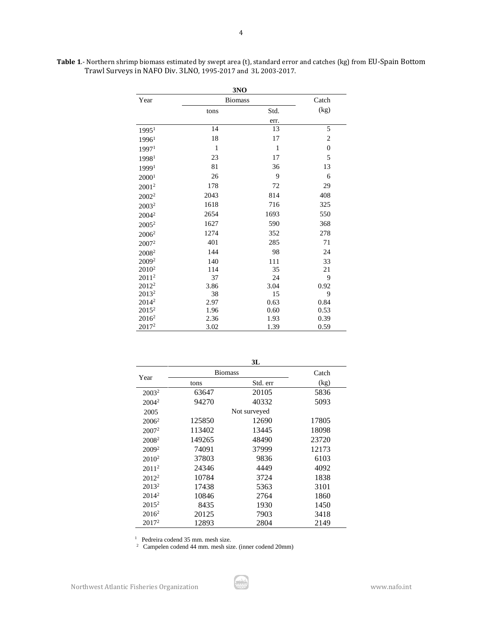| Table 1.- Northern shrimp biomass estimated by swept area (t), standard error and catches (kg) from EU-Spain Bottom |
|---------------------------------------------------------------------------------------------------------------------|
| Trawl Surveys in NAFO Div. 3LNO, 1995-2017 and 3L 2003-2017.                                                        |

|                   | 3NO            |              |                |
|-------------------|----------------|--------------|----------------|
| Year              | <b>Biomass</b> |              | Catch          |
|                   | tons           | Std.         | (kg)           |
|                   |                | err.         |                |
| 1995 <sup>1</sup> | 14             | 13           | 5              |
| 1996 <sup>1</sup> | 18             | 17           | $\overline{c}$ |
| 1997 <sup>1</sup> | $\mathbf{1}$   | $\mathbf{1}$ | $\overline{0}$ |
| 19981             | 23             | 17           | 5              |
| 19991             | 81             | 36           | 13             |
| 2000 <sup>1</sup> | 26             | 9            | 6              |
| 2001 <sup>2</sup> | 178            | 72           | 29             |
| 2002 <sup>2</sup> | 2043           | 814          | 408            |
| 2003 <sup>2</sup> | 1618           | 716          | 325            |
| 2004 <sup>2</sup> | 2654           | 1693         | 550            |
| 2005 <sup>2</sup> | 1627           | 590          | 368            |
| 2006 <sup>2</sup> | 1274           | 352          | 278            |
| 2007 <sup>2</sup> | 401            | 285          | 71             |
| 2008 <sup>2</sup> | 144            | 98           | 24             |
| 2009 <sup>2</sup> | 140            | 111          | 33             |
| 2010 <sup>2</sup> | 114            | 35           | 21             |
| 2011 <sup>2</sup> | 37             | 24           | 9              |
| $2012^2$          | 3.86           | 3.04         | 0.92           |
| 2013 <sup>2</sup> | 38             | 15           | 9              |
| 2014 <sup>2</sup> | 2.97           | 0.63         | 0.84           |
| 2015 <sup>2</sup> | 1.96           | 0.60         | 0.53           |
| 2016 <sup>2</sup> | 2.36           | 1.93         | 0.39           |
| 2017 <sup>2</sup> | 3.02           | 1.39         | 0.59           |

|                   |                | 3L           |       |
|-------------------|----------------|--------------|-------|
| Year              | <b>Biomass</b> |              | Catch |
|                   | tons           | Std. err     | (kg)  |
| 2003 <sup>2</sup> | 63647          | 20105        | 5836  |
| 2004 <sup>2</sup> | 94270          | 40332        | 5093  |
| 2005              |                | Not surveyed |       |
| $2006^2$          | 125850         | 12690        | 17805 |
| $2007^2$          | 113402         | 13445        | 18098 |
| 2008 <sup>2</sup> | 149265         | 48490        | 23720 |
| 2009 <sup>2</sup> | 74091          | 37999        | 12173 |
| 2010 <sup>2</sup> | 37803          | 9836         | 6103  |
| 2011 <sup>2</sup> | 24346          | 4449         | 4092  |
| $2012^2$          | 10784          | 3724         | 1838  |
| $2013^2$          | 17438          | 5363         | 3101  |
| $2014^2$          | 10846          | 2764         | 1860  |
| $2015^2$          | 8435           | 1930         | 1450  |
| $2016^2$          | 20125          | 7903         | 3418  |
| $2017^2$          | 12893          | 2804         | 2149  |

Pedreira codend 35 mm. mesh size. 2 Campelen codend 44 mm. mesh size. (inner codend 20mm)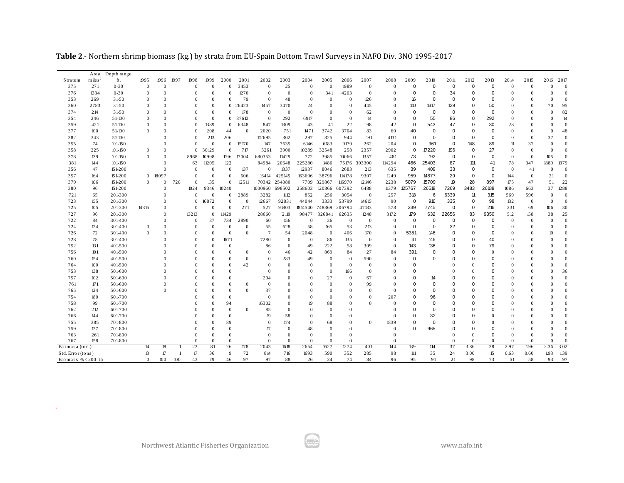|                     |                        | Area Depth range |                  |              |              |              |                |                |                |                |                |                |                  |                |                |              |                |             |             |             |                |              |              |              |               |
|---------------------|------------------------|------------------|------------------|--------------|--------------|--------------|----------------|----------------|----------------|----------------|----------------|----------------|------------------|----------------|----------------|--------------|----------------|-------------|-------------|-------------|----------------|--------------|--------------|--------------|---------------|
| Stratum             | $m$ ile s <sup>2</sup> | ft.              | 1995             | 1996         | 1997         | 1998         | 1999           | 2000           | 2001           | 2002           | 2003           | 2004           | 2005             | 2006           | 2007           | 2008         | 2009           | 2010        | 2011        | 2012        | 2013           | 2014         | 2015         | 2016 2017    |               |
| 375                 | 271                    | $0 - 30$         | $\mathbf{0}$     | $\mathbf{0}$ |              | $\mathbf{0}$ | $\mathbf{0}$   | $\Omega$       | 3453           | $\mathbf{0}$   | 25             | $\mathbf{0}$   | $\mathbf{0}$     | 1989           | $\mathbf{0}$   | $\Omega$     | $\pmb{0}$      | $\mathbf 0$ | $\mathbf 0$ | $\mathbf 0$ | $\mathbf 0$    | $\mathbf{0}$ | $\mathbf{0}$ | $\Omega$     |               |
| 376                 | 1334                   | $0 - 30$         | $\Omega$         | $\Omega$     |              | $\Omega$     | $\Omega$       | $\Omega$       | 1270           | $\mathbf{0}$   | $\Omega$       | $\mathbf{0}$   | 341              | 4203           | $\overline{0}$ |              | $\mathbf 0$    | $\mathbf 0$ | 34          | $\Omega$    | 0              | $\mathbf{0}$ | $\Omega$     | $\Omega$     |               |
| 353                 | 269                    | 31-50            | $\Omega$         | $\Omega$     |              |              | $\Omega$       | $\Omega$       | 79             | $\mathbf{0}$   | 48             | $\overline{0}$ | $\Omega$         | $\theta$       | 126            |              | 16             | $\mathbf 0$ | $\mathbf 0$ | $\mathbf 0$ | $\Omega$       | $\theta$     |              | $\Omega$     |               |
| 360                 | 2783                   | 31-50            |                  | $\theta$     |              |              | $\Omega$       | $\overline{0}$ | 26423          | 1457           | 3470           | 24             | $\mathbf{0}$     | $\theta$       | 445            |              | 110            | 1317        | 129         | $\mathbf 0$ | 50             | 0            |              | 70           | 95            |
| 374                 | 214                    | 31-50            | $\Omega$         | $\Omega$     |              |              | $\mathbf{0}$   | $\mathbf{0}$   | 178            | $\mathbf{0}$   | $\overline{0}$ | $\overline{0}$ | $\mathbf{0}$     | $\overline{0}$ | 62             |              | $\mathbf 0$    | $\mathbf 0$ | $\mathbf 0$ | $\mathbf 0$ | $\circ$        | $\mathbf{0}$ |              | 0            | 82            |
| 354                 | 246                    | 51-100           | $\Omega$         | $\Omega$     |              | $\Omega$     | $\Omega$       | $\mathbf{0}$   | 87612          | $\mathbf{0}$   | 292            | 6917           | $\overline{0}$   | $\Omega$       | 14             | $\Omega$     | $\mathbf 0$    | 55          | 86          | $\Omega$    | 292            | $\Omega$     |              | $\Omega$     | $\mathcal{L}$ |
| 359                 | 421                    | 51-100           | $\Omega$         | $\Omega$     |              | $\Omega$     | 1389           | $\Omega$       | 6348           | 847            | 1309           | 43             | 41               | 22             | 98             | 42           | $\mathbf 0$    | 543         | 47          | $\mathbf 0$ | 30             | 28           |              |              |               |
| 377                 | 100                    | 51-100           | $\Omega$         |              |              | $\Omega$     | 208            | 44             | $\overline{0}$ | 2020           | 751            | 1471           | 3742             | 3704           | 83             | 60           | 40             | $\mathbf 0$ | $\mathbf 0$ | $\mathbf 0$ | $\mathbf 0$    | $\mathbf{0}$ | $\Omega$     | $\mathbf{0}$ | 48            |
| 382                 | 343                    | 51-100           |                  |              |              |              | 213            | 206            |                | 112695         | 302            | 297            | 825              | 944            | 191            | 4131         | $\mathbf 0$    | $\mathbf 0$ | $\mathbf 0$ | $\mathbf 0$ | $\mathbf 0$    | 0            |              | 37           |               |
| 355                 | 74                     | $101 - 150$      |                  |              |              | $\Omega$     | $\Omega$       | $\Omega$       | 15 17 0        | 147            | 7635           | 6146           | 6183             | 9179           | 262            | 204          | $\mathbf 0$    | 961         | $\Omega$    | 148         | 89             | 11           | 37           | $\Omega$     |               |
| 358                 | 225                    | $101 - 150$      | $\Omega$         | $\Omega$     |              | $\mathbf{0}$ | 30129          | $\Omega$       | 717            | 3261           | 3900           | 10289          | 32548            | 258            | 2357           | 2902         | $\overline{0}$ | 17220       | 196         | $\mathbf 0$ | 27             | $\Omega$     | $\Omega$     | $\theta$     |               |
| 378                 | 139                    | $101 - 150$      | $\Omega$         | $\theta$     |              | 8968         | 10998          | 1196           | 17004          | 680353         | 11429          | 772            | 3985             | 10066          | 1357           | 481          | 73             | 192         | $\mathbf 0$ | 0           | $\mathbf 0$    | $\mathbf{0}$ | $\Omega$     | 105          |               |
| 381                 | 144                    | $101 - 150$      |                  | $\Omega$     |              | 63           | 11205          | 122            |                | 84984          | 20648          | 225280         | 1486             | 75176          | 303300         | 114294       | 466            | 25403       | 87          | 111         | 41             | 78           | 347          | 1889         | 1379          |
| 356                 | 47                     | 151-200          |                  |              |              | $\Omega$     | $\Omega$       | $\Omega$       | 137            | $\mathbf{0}$   | 1337           | 12937          | 8046             | 2683           | 213            | 635          | 39             | 409         | 33          | $\mathbf 0$ | $\mathbf 0$    | $\Omega$     | 41           | $\Omega$     |               |
| 357                 | 164                    | 151-200          | $\overline{0}$   | 18097        |              | $\Omega$     | $\overline{0}$ | $\Omega$       | 606            | 16414          | 425145         | 163606         | 38796            | 114178         | 9307           | 1249         | 959            | 14877       | 29          | $\mathbf 0$ | $\mathbf 0$    | 144          | $\Omega$     | 21           |               |
| 379                 | 106                    | 151-200          | $\Omega$         | $\Omega$     | 720          | $\mathbf{0}$ | 135            | $\Omega$       | 12511          | 70342          | 254080         | 7709           | 329867           | 116970         | 12146          | 2238         | 5079           | 15709       | 19          | 28          | 897            | 175          | 47           | 51           | 22            |
| 380                 | 96                     | 151-200          |                  |              |              | 1024         | 9346           | 10240          |                | 1000960        | 698502         | 258603         | 120866           | 607392         | 6488           | 11379        | 125767         | 26518       | 7269        | 3483        | 26188          | 1086         | 663          | 37           | 1288          |
| 721                 | 65                     | 201-300          |                  |              |              | $\Omega$     | $\Omega$       | $\Omega$       | 2889           | 3282           | 1112           | 852            | 256              | 3054           | $\overline{0}$ | 257          | 318            | 6           | 6339        | 11          | 315            | 569          | 596          | $\Omega$     |               |
| 723                 | 155                    | 201-300          |                  |              |              | $\mathbf{0}$ | 16872          | $\Omega$       | $\overline{0}$ | 12667          | 92831          | 44044          | 3333             | 53799          | 14615          | 90           | $\mathbf 0$    | 916         | 335         | $\mathbf 0$ | 98             | 132          | $\mathbf{0}$ | $\theta$     |               |
| 725                 | 105                    | 201-300          | 14315            | $\sqrt{ }$   |              | $\Omega$     | $\Omega$       | $\theta$       | 271            | 527            | 91803          | 1814540        | 748369           | 206794         | 47133          | 578          | 239            | 7745        | $\mathbf 0$ | $\mathbf 0$ | 216            | 231          | 69           | 106          | 30            |
| 727                 | 96                     | 201-300          |                  | $\Omega$     |              | 13213        | $\mathbf{0}$   | 11429          |                | 28660          | 2 1 19         | 98477          | 326841           | 62635          | 1248           | 3172         | 179            | 632         | 22656       | 83          | 9350           | 512          | 158          | 38           | 25            |
| 722                 | 84                     | 301-400          |                  | $\Omega$     |              | $\Omega$     | 37             | 734            | 2890           | 60             | 156            | $\mathbf{0}$   | 36               | $\theta$       | $\mathbf{0}$   | $\Omega$     | $\mathbf 0$    | $\mathbf 0$ | $\Omega$    | $\mathbf 0$ | $\Omega$       | $\Omega$     | $\mathbf{0}$ | $\Omega$     | $\Omega$      |
| 724                 | 124                    | 301-400          | $\overline{0}$   | $\theta$     |              | $\Omega$     | $\mathbf{0}$   | $\theta$       | $\mathbf{0}$   | 55             | 628            | 58             | 165              | 53             | 213            | $\Omega$     | $\mathbf 0$    | $\mathbf 0$ | 32          | $\mathbf 0$ | $\mathbf 0$    | $\mathbf{0}$ |              | $\Omega$     |               |
| 726                 | 72                     | 301-400          | $\Omega$         | $\sqrt{ }$   |              | $\Omega$     | $\mathbf{0}$   | $\overline{0}$ | $\Omega$       | $\overline{7}$ | 54             | 2048           | $\mathbf{0}$     | 406            | 170            | $\Omega$     | 5351           | 146         | 0           | $\mathbf 0$ | $\mathbf 0$    | 0            |              | 10           |               |
| 728                 | 78                     | 301-400          |                  |              |              |              | $\Omega$       | 1671           |                | 7280           | $\theta$       | $\Omega$       | 86               | 135            | $\overline{0}$ | $\Omega$     | 41             | 146         | $\Omega$    | $\Omega$    | 40             | $\Omega$     |              |              |               |
| 752                 | 131                    | 401-500          |                  |              |              | $\Omega$     | $\Omega$       | $\Omega$       |                | 86             | $\mathbf{0}$   | 49             | 222              | 58             | 309            | $\Omega$     | 143            | 136         | $\mathbf 0$ | $\mathbf 0$ | 79             | $\Omega$     |              | $\Omega$     |               |
| 756                 | 101                    | 401-500          |                  |              |              |              |                | $\Omega$       | $\theta$       | $\mathbf{0}$   | 46             | 42             | 869              | 84             | 27             | 84           | 391            | $\mathbf 0$ | 0           | $\Omega$    | $\overline{0}$ | $\Omega$     |              |              |               |
| 760                 | 154                    | 401-500          |                  |              |              | $\Omega$     |                | $\Omega$       | $\mathbf{0}$   | $\mathbf{0}$   | 283            | 49             | $\boldsymbol{0}$ | $\overline{0}$ | 590            | $\mathbf{0}$ | $\mathbf 0$    | $\mathbf 0$ | 0           | $\mathbf 0$ | $\mathbf 0$    | 0            |              |              |               |
| 764                 | 100                    | 401-500          |                  |              |              |              |                | $\Omega$       | 42             | $\mathbf{0}$   | $\Omega$       | $\Omega$       | $\mathbf{0}$     | $\Omega$       | $\Omega$       |              | $\mathbf 0$    |             |             |             | $\Omega$       | $\Omega$     |              |              |               |
| 753                 | 138                    | 501-600          |                  |              |              |              |                | $\Omega$       |                | $\mathbf{0}$   | $\mathbf{0}$   | $\Omega$       | $\mathbf{0}$     | 166            | $\mathbf{0}$   |              | $\mathbf 0$    |             |             | $\sqrt{ }$  | $\Omega$       | $\Omega$     |              | $\Omega$     | 36            |
| 757                 | 102                    | 501-600          |                  |              |              |              |                | $\Omega$       |                | 204            | $\mathbf{0}$   | $\theta$       | 27               | $\theta$       | 67             |              | $\mathbf 0$    | 14          | 0           | $\Omega$    | $\Omega$       |              |              |              |               |
| 761                 | 171                    | 501-600          |                  |              |              |              |                | $\Omega$       | $\theta$       | $\mathbf{0}$   | $\mathbf{0}$   | $\theta$       | $\boldsymbol{0}$ | $\mathbf{0}$   | 99             |              | 0              | $\mathbf 0$ | 0           | 0           | 0              | 0            |              | 0            |               |
| 765                 | 124                    | 501-600          |                  | $\Omega$     |              |              |                | $\Omega$       | $\Omega$       | 37             | $\Omega$       | $\Omega$       | $\mathbf{0}$     | $\Omega$       | $\Omega$       | $\Omega$     | 0              | $\Omega$    | $\Omega$    | $\Omega$    | $\Omega$       | $\Omega$     |              | $\Omega$     |               |
| 754                 | 180                    | 601-700          |                  |              |              |              |                | $\Omega$       |                | $\Omega$       | $\mathbf{0}$   | $\Omega$       | $\mathbf{0}$     | $\theta$       | $\mathbf{0}$   | 207          | $\mathbf 0$    | 96          | 0           | 0           | $\Omega$       |              |              | $\Omega$     |               |
| 758                 | 99                     | 601-700          |                  |              |              |              | $\mathbf{0}$   | 94             |                | 16302          | $\mathbf{0}$   | 19             | 88               | $\Omega$       | $\Omega$       |              | $\mathbf 0$    | $\mathbf 0$ | 0           | $\Omega$    | $\Omega$       | $\Omega$     |              | $\Omega$     |               |
| 762                 | 212                    | 601-700          |                  |              |              |              |                | $\Omega$       | $\Omega$       | 85             | $\mathbf{0}$   | $\Omega$       | $\mathbf{0}$     | $\Omega$       |                |              | $\mathbf 0$    | $\mathbf 0$ | 0           | $\Omega$    | $\Omega$       |              |              | 0            |               |
| 766                 | 144                    | 601-700          |                  |              |              |              | $\Omega$       | $\Omega$       |                | 19             | 58             | $\Omega$       | $\mathbf{0}$     | $\Omega$       |                |              | $\mathbf 0$    | 32          | $\Omega$    | $\Omega$    | $\theta$       | $\Omega$     |              | $\Omega$     |               |
| 755                 | 385                    | 701-800          |                  |              |              |              |                | 89             |                | $\Omega$       | 174            | $\theta$       | 68               | $\theta$       | $\mathbf{0}$   | 1839         | $\mathbf 0$    | $\mathbf 0$ | 0           | $\Omega$    | $\theta$       | $\Omega$     |              | $\Omega$     |               |
| 759                 | 127                    | 701-800          |                  |              |              |              |                | $\Omega$       |                | 17             | $\theta$       | 48             | $\mathbf{0}$     | $\Omega$       |                | $\theta$     | $\mathbf 0$    | 965         | $\mathbf 0$ | $\Omega$    | $\mathbf 0$    | $\theta$     |              | $\Omega$     |               |
| 763                 | 261                    | 701-800          |                  |              |              |              | $\Omega$       | $\theta$       |                | $\Omega$       | $\Omega$       | $\Omega$       | $\mathbf{0}$     | $\Omega$       |                | $\Omega$     |                |             | $\theta$    | $\Omega$    | $\mathbf 0$    | $\theta$     |              | $\Omega$     |               |
| 767                 | 158                    | 701-800          |                  |              |              | $\Omega$     | $\Omega$       | $\Omega$       |                | $\Omega$       | $\Omega$       | $\overline{0}$ | $\overline{0}$   | $\Omega$       |                | $\Omega$     |                |             | $\Omega$    | $\Omega$    | $\Omega$       | $\Omega$     | $\Omega$     | $\Omega$     |               |
| Biomasa (ton.)      |                        |                  | 14               | 18           |              | 23           | 81             | 26             | 178            | 2043           | 1618           | 2654           | 1627             | 1274           | 401            | 144          | 139            | 114         | 37          | 3.86        | 38             | 2.97         | 1.96         | 2.36         | 3.02          |
| Std. Error (tons)   |                        |                  | 13               | 17           | $\mathbf{1}$ | 17           | 36             | 9              | 72             | 814            | 716            | 1693           | 590              | 352            | 285            | 98           | $111$          | 35          | 24          | 3.00        | 15             | 0.63         | 0.60         | 1.93         | 1.39          |
| Biomass % < 200 fth |                        |                  | $\boldsymbol{0}$ | 100          | 100          | 43           | 79             | 46             | 97             | 97             | 88             | 26             | 34               | 74             | 84             | 96           | 95             | 91          | 21          | 98          | 73             | 51           | 58           | 93           | 97            |

.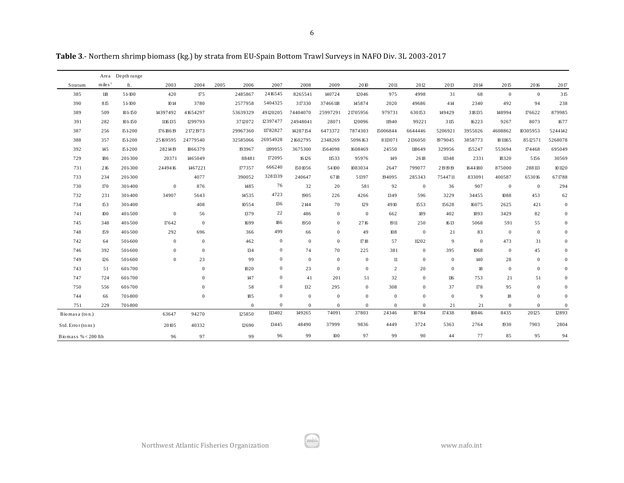**Table 3**.- Northern shrimp biomass (kg.) by strata from EU-Spain Bottom Trawl Surveys in NAFO Div. 3L 2003-2017

|                       |               | Area Depth range |              |              |              |                              |              |                |                  |                  |                  |              |                |                  |                  |                  |
|-----------------------|---------------|------------------|--------------|--------------|--------------|------------------------------|--------------|----------------|------------------|------------------|------------------|--------------|----------------|------------------|------------------|------------------|
| Stratum               | mile s $^{2}$ | ft.              | 2003         | 2004         | 2005<br>2006 | 2007                         | 2008         | 2009           | 2010             | 2011             | 2012             | 2013         | 2014           | 2015             | 2016             | 2017             |
| 385                   | 118           | 51-100           | 420          | 175          | 2485867      | 2416545                      | 8265541      | 140724         | 12046            | 975              | 4998             | 31           | 68             | $\mathbf{0}$     | $\mathbf{0}$     | 315              |
| 390                   | 815           | 51-100           | 1014         | 3780         | 2577958      | 5404325                      | 317330       | 37466118       | 145874           | 2020             | 49686            | 414          | 2340           | 492              | 94               | 238              |
| 389                   | 509           | $101 - 150$      | 14397492     | 41654297     | 53639329     | 49120205                     | 74404070     | 25997291       | 21705956         | 979731           | 630153           | 149429       | 318135         | 148994           | 176622           | 879985           |
| 391                   | 282           | $101 - 150$      | 1116 135     | 1299793      | 3712072      | 12397477                     | 24948041     | 28071          | 120096           | 11940            | 99221            | 3 1 15       | 16223          | 9267             | 8073             | 1677             |
| 387                   | 256           | 151-200          | 17618619     | 21721973     | 29967360     | 11782827                     | 14287154     | 6473372        | 7874303          | 15006844         | 6644446          | 5206921      | 3955026        | 4608862          | 10305953         | 5244142          |
| 388                   | 357           | 151-200          | 25169595     | 24779540     | 32585066     | 26954928                     | 21602795     | 2348269        | 5096163          | 8113071          | 2136050          | 1979045      | 3858773        | 18 11 16 5       | 8512571          | 5268078          |
| 392                   | 145           | 151-200          | 2821419      | 1866379      | 193967       | 1199955                      | 3675300      | 1564098        | 1608469          | 24550            | 118649           | 329956       | 155247         | 553694           | 174468           | 695049           |
| 729                   | 186           | 201-300          | 20371        | 1465049      | 88481        | 172095                       | 16126        | 11533          | 95976            | 149              | 2618             | 11348        | 2331           | 18320            | 5156             | 30569            |
| 731                   | 216           | 201-300          | 2449416      | 1467221      | 177357       | 666240                       | 1501056      | 54100          | 1083034          | 2647             | 799077           | 2191919      | 1644180        | 875000           | 288113           | 101120           |
| 733                   | 234           | 201-300          |              | 4077         | 390052       | 3281339                      | 240647       | 6718           | 51397            | 194095           | 285343           | 7544711      | 833091         | 400587           | 653016           | 671788           |
| 730                   | 170           | 301-400          | $\mathbf{0}$ | 876          | 1485         | 76                           | 32           | 20             | 581              | 92               | $\overline{0}$   | 36           | 907            | $\boldsymbol{0}$ | $\mathbf{0}$     | 294              |
| 732                   | 231           | 301-400          | 34907        | 5643         | 14535        | 4723                         | 1905         | 226            | 4266             | 1349             | 596              | 3229         | 34455          | 1088             | 453              | 62               |
| 734                   | 153           | 301-400          |              | 408          | 10554        | 136                          | 2144         | 70             | 129              | 4910             | 1553             | 15628        | 16075          | 2625             | 421              | $\mathbf{0}$     |
| 741                   | 100           | 401-500          | $\bf{0}$     | 56           | 1379         | 22                           | 486          | $\overline{0}$ | $\boldsymbol{0}$ | 662              | 189              | 402          | 1893           | 3429             | 82               | $\mathbf{0}$     |
| 745                   | 348           | 401-500          | 17642        | $\mathbf{0}$ | 1699         | 186                          | 1950         | $\mathbf{0}$   | 2716             | 1911             | 250              | 1613         | 5068           | 591              | 55               | $\mathbf{0}$     |
| 748                   | 159           | 401-500          | 292          | 696          | 366          | 499                          | 66           | $\overline{0}$ | 49               | 108              | $\boldsymbol{0}$ | 21           | 83             | $\boldsymbol{0}$ | $\boldsymbol{0}$ | $\boldsymbol{0}$ |
| 742                   | 64            | 501-600          | $\mathbf{0}$ | $\mathbf{0}$ | 462          | $\overline{0}$               | $\mathbf{0}$ | $\overline{0}$ | 1718             | 57               | 11202            | 9            | $\overline{0}$ | 473              | 31               | $\mathbf{0}$     |
| 746                   | 392           | 501-600          | $\mathbf{0}$ | $\mathbf{0}$ | 134          | $\bf{0}$                     | 74           | 70             | 225              | 381              | $\mathbf{0}$     | 395          | 1068           | $\mathbf{0}$     | 45               | $\mathbf{0}$     |
| 749                   | 126           | 501-600          | $\mathbf{0}$ | 23           | 99           | $\boldsymbol{0}$             | $\mathbf{0}$ | $\mathbf{0}$   | $\mathbf{0}$     | 11               | $\boldsymbol{0}$ | $\mathbf{0}$ | 140            | 28               | $\mathbf{0}$     | $\mathbf{0}$     |
| 743                   | 51            | 601-700          |              | $\mathbf{0}$ | 1020         | $\mathbf{0}$                 | 23           | $\overline{0}$ | $\mathbf{0}$     | $\overline{2}$   | 20               | $\mathbf{0}$ | $18\,$         | $\mathbf{0}$     | $\mathbf{0}$     | $\mathbf{0}$     |
| 747                   | 724           | 601-700          |              | $\mathbf{0}$ | 147          | $\bf{0}$                     | 41           | 201            | 51               | 32               | $\mathbf{0}$     | 116          | 753            | 21               | 51               | $\mathbf{0}$     |
| 750                   | 556           | 601-700          |              | $\mathbf{0}$ | 58           | $\mathbf{0}$                 | 132          | 295            | $\overline{0}$   | 308              | $\boldsymbol{0}$ | 37           | 178            | 95               | $\mathbf{0}$     | $\boldsymbol{0}$ |
| 744                   | 66            | 701-800          |              | $\mathbf{0}$ | 185          | $\boldsymbol{0}$             | $\mathbf{0}$ | $\mathbf{0}$   | $\overline{0}$   | $\boldsymbol{0}$ | $\mathbf{0}$     | $\mathbf{0}$ | 9              | $18\,$           | $\boldsymbol{0}$ | $\boldsymbol{0}$ |
| 751                   | 229           | 701-800          |              |              |              | $\mathbf{0}$<br>$\mathbf{0}$ | $\mathbf{0}$ | $\mathbf{0}$   | $\mathbf{0}$     | $\mathbf{0}$     | $\boldsymbol{0}$ | 21           | 21             | $\overline{0}$   | $\mathbf{0}$     | $\mathbf{0}$     |
| Biomasa (ton.)        |               |                  | 63647        | 94270        | 125850       | 113402                       | 149265       | 74091          | 37803            | 24346            | 10784            | 17438        | 10846          | 8435             | 20125            | 12893            |
| Std. Error (tons)     |               |                  | 20105        | 40332        | 12690        | 13445                        | 48490        | 37999          | 9836             | 4449             | 3724             | 5363         | 2764           | 1930             | 7903             | 2804             |
| Biomass % $< 200$ fth |               |                  | 96           | 97           | 99           | 96                           | 99           | 100            | 97               | 99               | 90               | 44           | 77             | 85               | 95               | 94               |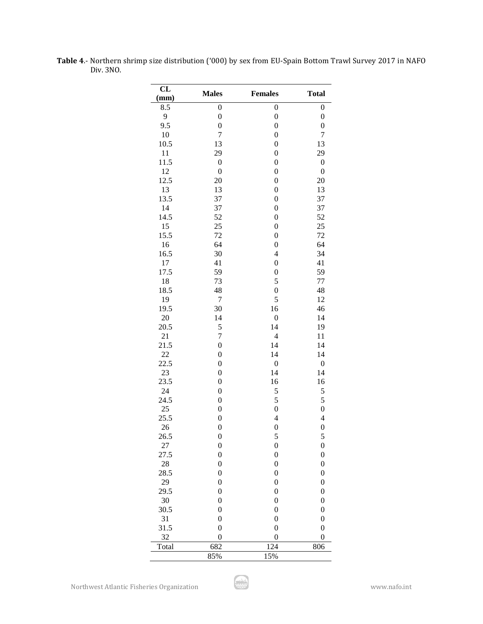| CL<br>(mm) | <b>Males</b>     | <b>Females</b>           | <b>Total</b>     |
|------------|------------------|--------------------------|------------------|
| 8.5        | $\boldsymbol{0}$ | $\boldsymbol{0}$         | $\boldsymbol{0}$ |
| 9          | $\boldsymbol{0}$ | $\boldsymbol{0}$         | $\boldsymbol{0}$ |
| 9.5        | $\boldsymbol{0}$ | $\boldsymbol{0}$         | $\boldsymbol{0}$ |
| 10         | 7                | $\boldsymbol{0}$         | 7                |
| 10.5       | 13               | $\boldsymbol{0}$         | 13               |
| 11         | 29               | $\boldsymbol{0}$         | 29               |
| 11.5       | $\boldsymbol{0}$ | $\boldsymbol{0}$         | $\boldsymbol{0}$ |
| 12         | $\boldsymbol{0}$ | $\boldsymbol{0}$         | $\boldsymbol{0}$ |
| 12.5       | 20               | $\boldsymbol{0}$         | 20               |
| 13         | 13               | $\boldsymbol{0}$         | 13               |
| 13.5       | 37               | $\boldsymbol{0}$         | 37               |
| 14         | 37               | $\boldsymbol{0}$         | 37               |
| 14.5       | 52               | $\boldsymbol{0}$         | 52               |
| 15         | 25               | $\boldsymbol{0}$         | 25               |
| 15.5       | 72               | $\boldsymbol{0}$         | 72               |
| 16         | 64               | $\boldsymbol{0}$         | 64               |
|            |                  | $\overline{4}$           |                  |
| 16.5       | 30               |                          | 34               |
| 17         | 41<br>59         | $\boldsymbol{0}$         | 41               |
| 17.5       |                  | $\boldsymbol{0}$         | 59               |
| 18         | 73               | 5                        | 77               |
| 18.5       | 48               | $\boldsymbol{0}$         | 48               |
| 19         | $\overline{7}$   | 5                        | 12               |
| 19.5       | 30               | 16                       | 46               |
| 20         | 14               | $\boldsymbol{0}$         | 14               |
| 20.5       | 5                | 14                       | 19               |
| 21         | $\overline{7}$   | $\overline{\mathcal{L}}$ | 11               |
| 21.5       | $\overline{0}$   | 14                       | 14               |
| 22         | $\boldsymbol{0}$ | 14                       | 14               |
| 22.5       | $\boldsymbol{0}$ | $\boldsymbol{0}$         | $\boldsymbol{0}$ |
| 23         | $\boldsymbol{0}$ | 14                       | 14               |
| 23.5       | $\boldsymbol{0}$ | 16                       | 16               |
| 24         | $\boldsymbol{0}$ | 5                        | 5                |
| 24.5       | $\boldsymbol{0}$ | 5                        | 5                |
| 25         | $\boldsymbol{0}$ | $\boldsymbol{0}$         | $\overline{0}$   |
| 25.5       | $\overline{0}$   | $\overline{4}$           | $\overline{4}$   |
| 26         | $\overline{0}$   | $\overline{0}$           | $\boldsymbol{0}$ |
| 26.5       | $\boldsymbol{0}$ | 5                        | 5                |
| 27         | $\boldsymbol{0}$ | $\boldsymbol{0}$         | $\boldsymbol{0}$ |
| 27.5       | $\boldsymbol{0}$ | $\boldsymbol{0}$         | $\boldsymbol{0}$ |
| 28         | $\boldsymbol{0}$ | $\boldsymbol{0}$         | $\boldsymbol{0}$ |
| 28.5       | $\boldsymbol{0}$ | $\boldsymbol{0}$         | $\boldsymbol{0}$ |
| 29         | $\boldsymbol{0}$ | $\boldsymbol{0}$         | $\boldsymbol{0}$ |
| 29.5       | $\boldsymbol{0}$ | $\boldsymbol{0}$         | $\boldsymbol{0}$ |
| 30         | $\boldsymbol{0}$ | $\boldsymbol{0}$         | $\boldsymbol{0}$ |
| 30.5       | 0                | $\boldsymbol{0}$         | $\boldsymbol{0}$ |
| 31         | $\boldsymbol{0}$ | $\boldsymbol{0}$         | $\boldsymbol{0}$ |
| 31.5       | $\boldsymbol{0}$ | $\boldsymbol{0}$         | $\boldsymbol{0}$ |
| 32         | $\boldsymbol{0}$ | $\boldsymbol{0}$         | $\mathbf{0}$     |
| Total      | 682              | 124                      | 806              |
|            | 85%              | 15%                      |                  |

**Table 4**.- Northern shrimp size distribution ('000) by sex from EU-Spain Bottom Trawl Survey 2017 in NAFO Div. 3NO.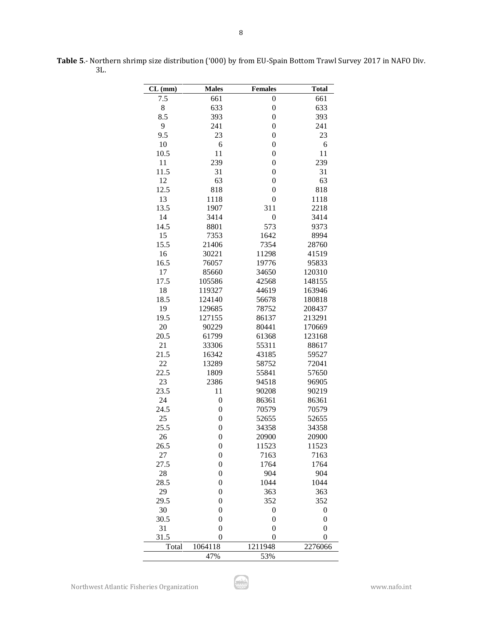| $CL$ (mm) | <b>Males</b>     | <b>Females</b>   | <b>Total</b>     |
|-----------|------------------|------------------|------------------|
| 7.5       | 661              | $\boldsymbol{0}$ | 661              |
| 8         | 633              | $\boldsymbol{0}$ | 633              |
| 8.5       | 393              | $\boldsymbol{0}$ | 393              |
| 9         | 241              | $\boldsymbol{0}$ | 241              |
| 9.5       | 23               | $\boldsymbol{0}$ | 23               |
| 10        | 6                | $\boldsymbol{0}$ | 6                |
| 10.5      | 11               | $\boldsymbol{0}$ | 11               |
| 11        | 239              | $\boldsymbol{0}$ | 239              |
| 11.5      | 31               | $\boldsymbol{0}$ | 31               |
| 12        | 63               | $\boldsymbol{0}$ | 63               |
| 12.5      | 818              | $\boldsymbol{0}$ | 818              |
| 13        | 1118             | $\boldsymbol{0}$ | 1118             |
| 13.5      | 1907             | 311              | 2218             |
| 14        | 3414             | $\boldsymbol{0}$ | 3414             |
| 14.5      | 8801             | 573              | 9373             |
| 15        | 7353             | 1642             | 8994             |
| 15.5      | 21406            | 7354             | 28760            |
| 16        | 30221            | 11298            | 41519            |
| 16.5      | 76057            | 19776            | 95833            |
| 17        | 85660            | 34650            | 120310           |
| 17.5      | 105586           | 42568            | 148155           |
| 18        | 119327           | 44619            | 163946           |
| 18.5      | 124140           | 56678            | 180818           |
| 19        | 129685           | 78752            | 208437           |
| 19.5      | 127155           | 86137            | 213291           |
| 20        | 90229            | 80441            | 170669           |
| 20.5      | 61799            | 61368            | 123168           |
| 21        | 33306            | 55311            | 88617            |
| 21.5      | 16342            | 43185            | 59527            |
| 22        | 13289            | 58752            | 72041            |
| 22.5      | 1809             | 55841            | 57650            |
| 23        | 2386             | 94518            | 96905            |
| 23.5      | 11               | 90208            | 90219            |
| 24        | $\boldsymbol{0}$ | 86361            | 86361            |
| 24.5      | $\overline{0}$   | 70579            | 70579            |
| 25        | $\boldsymbol{0}$ | 52655            | 52655            |
| 25.5      | $\overline{0}$   | 34358            | 34358            |
| 26        | $\boldsymbol{0}$ | 20900            | 20900            |
| 26.5      | $\boldsymbol{0}$ | 11523            | 11523            |
| 27        | $\boldsymbol{0}$ | 7163             | 7163             |
| 27.5      | $\boldsymbol{0}$ | 1764             | 1764             |
| 28        | $\boldsymbol{0}$ | 904              | 904              |
| 28.5      | $\boldsymbol{0}$ | 1044             | 1044             |
| 29        | $\boldsymbol{0}$ | 363              | 363              |
| 29.5      | $\boldsymbol{0}$ | 352              | 352              |
| 30        | $\boldsymbol{0}$ | $\boldsymbol{0}$ | $\boldsymbol{0}$ |
| 30.5      | $\boldsymbol{0}$ | $\boldsymbol{0}$ | $\boldsymbol{0}$ |
| 31        | $\boldsymbol{0}$ | $\boldsymbol{0}$ | $\boldsymbol{0}$ |
| 31.5      | $\boldsymbol{0}$ | $\boldsymbol{0}$ | $\overline{0}$   |
| Total     | 1064118          | 1211948          | 2276066          |
|           | 47%              | 53%              |                  |

**Table 5**.- Northern shrimp size distribution ('000) by from EU-Spain Bottom Trawl Survey 2017 in NAFO Div. 3L.

8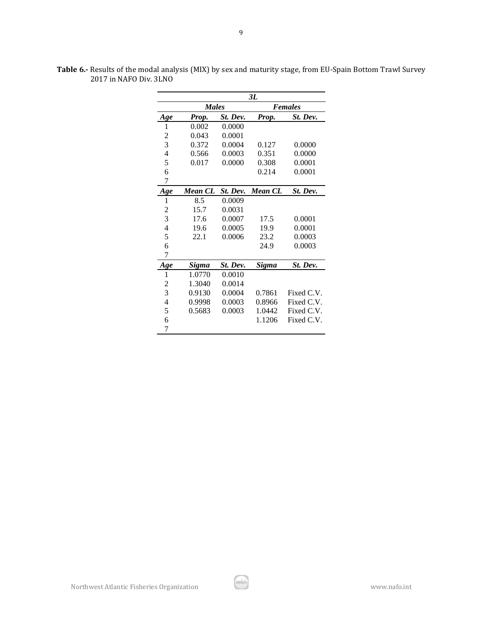|                          |                |          | 3L           |            |  |  |  |
|--------------------------|----------------|----------|--------------|------------|--|--|--|
|                          | <b>Males</b>   |          | Females      |            |  |  |  |
| Age                      | Prop.          | St. Dev. | Prop.        | St. Dev.   |  |  |  |
| 1                        | 0.002          | 0.0000   |              |            |  |  |  |
| $\overline{c}$           | 0.043          | 0.0001   |              |            |  |  |  |
| 3                        | 0.372          | 0.0004   | 0.127        | 0.0000     |  |  |  |
| $\overline{\mathcal{L}}$ | 0.566          | 0.0003   | 0.351        | 0.0000     |  |  |  |
| 5                        | 0.017          | 0.0000   | 0.308        | 0.0001     |  |  |  |
| 6                        |                |          | 0.214        | 0.0001     |  |  |  |
| 7                        |                |          |              |            |  |  |  |
| Age                      | <b>Mean CL</b> | St. Dev. | Mean CL      | St. Dev.   |  |  |  |
| 1                        | 8.5            | 0.0009   |              |            |  |  |  |
| $\overline{c}$           | 15.7           | 0.0031   |              |            |  |  |  |
| 3                        | 17.6           | 0.0007   | 17.5         | 0.0001     |  |  |  |
| $\overline{4}$           | 19.6           | 0.0005   | 19.9         | 0.0001     |  |  |  |
| 5                        | 22.1           | 0.0006   | 23.2         | 0.0003     |  |  |  |
| 6                        |                |          | 24.9         | 0.0003     |  |  |  |
| 7                        |                |          |              |            |  |  |  |
| <u>Age</u>               | Sigma          | St. Dev. | <b>Sigma</b> | St. Dev.   |  |  |  |
| 1                        | 1.0770         | 0.0010   |              |            |  |  |  |
| $\overline{c}$           | 1.3040         | 0.0014   |              |            |  |  |  |
| 3                        | 0.9130         | 0.0004   | 0.7861       | Fixed C.V. |  |  |  |
| 4                        | 0.9998         | 0.0003   | 0.8966       | Fixed C.V. |  |  |  |
| 5                        | 0.5683         | 0.0003   | 1.0442       | Fixed C.V. |  |  |  |
| 6                        |                |          | 1.1206       | Fixed C.V. |  |  |  |
| 7                        |                |          |              |            |  |  |  |

**Table 6.-** Results of the modal analysis (MIX) by sex and maturity stage, from EU-Spain Bottom Trawl Survey 2017 in NAFO Div. 3LNO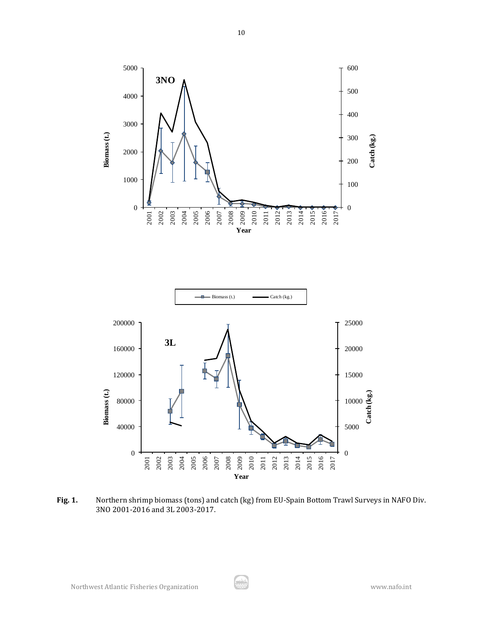



**Fig. 1.** Northern shrimp biomass (tons) and catch (kg) from EU-Spain Bottom Trawl Surveys in NAFO Div. 3NO 2001-2016 and 3L 2003-2017.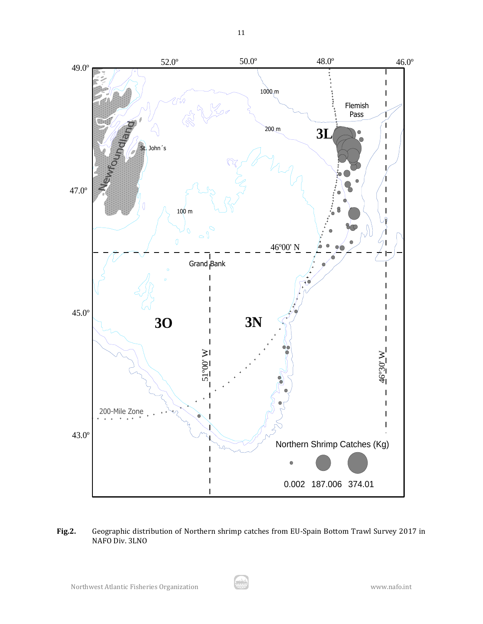

# **Fig.2.** Geographic distribution of Northern shrimp catches from EU-Spain Bottom Trawl Survey 2017 in NAFO Div. 3LNO